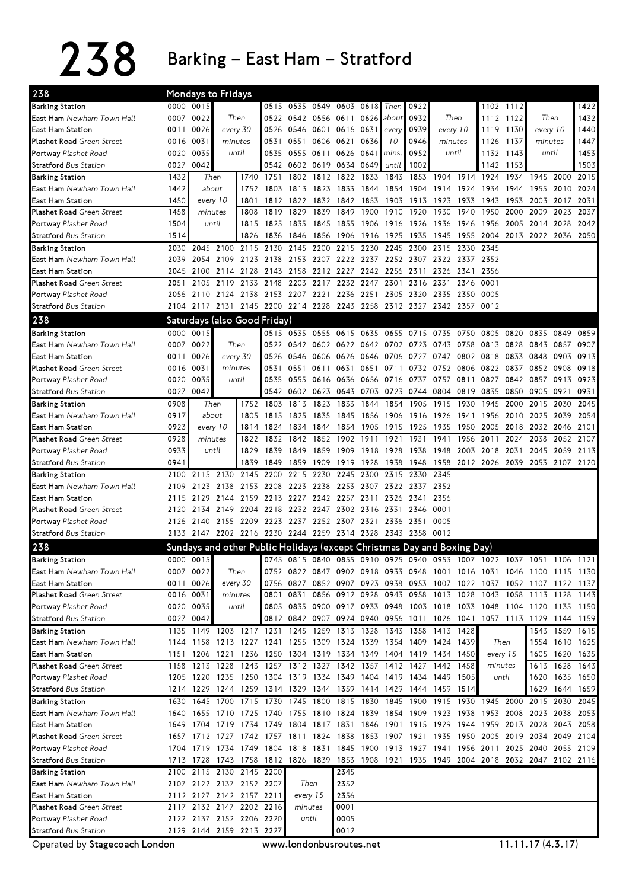238 Barking – East Ham – Stratford

| 238                                                  |      | Mondays to Fridays                                                                        |      |                          |                     |                |           |                                                   |           |           |                |                          |          |                                                                                                                                                |           |           |                |      |
|------------------------------------------------------|------|-------------------------------------------------------------------------------------------|------|--------------------------|---------------------|----------------|-----------|---------------------------------------------------|-----------|-----------|----------------|--------------------------|----------|------------------------------------------------------------------------------------------------------------------------------------------------|-----------|-----------|----------------|------|
| <b>Barking Station</b>                               |      | 0000 0015                                                                                 |      |                          |                     | 0515 0535 0549 |           | 0603 0618                                         |           | Then      | 0922           |                          |          |                                                                                                                                                | 1102 1112 |           |                | 1422 |
| <b>East Ham</b> Newham Town Hall                     |      | 0007 0022                                                                                 |      | Then                     |                     |                |           | 0522 0542 0556 0611 0626                          |           | about     | 0932           | Then                     |          |                                                                                                                                                | 1112 1122 |           | Then           | 1432 |
| East Ham Station                                     | 0011 | 0026                                                                                      |      | every 30                 |                     | 0526 0546      |           | 0601 0616 0631                                    |           | every     | 0939           |                          | every 10 | 1119                                                                                                                                           | 1130      | every 10  |                | 1440 |
| <b>Plashet Road</b> Green Street                     | 0016 | 0031                                                                                      |      | minutes                  | 0531                | 0551           | 0606 0621 |                                                   | 0636      | 10        | 0946           | minutes                  |          | 1126                                                                                                                                           | 1137      | minutes   |                | 1447 |
| <b>Portway</b> Plashet Road                          | 0020 | 0035                                                                                      |      | until                    | 0535                | 0555 0611      |           | 0626 0641                                         |           | mins.     | 0952           |                          | until    | 1132                                                                                                                                           | 1143      | until     |                | 1453 |
| <b>Stratford</b> Bus Station                         | 0027 | 0042                                                                                      |      |                          |                     |                |           | 0542 0602 0619 0634 0649                          |           | until     | 1002           |                          |          | 1142                                                                                                                                           | 1153      |           |                | 1503 |
| <b>Barking Station</b>                               | 1432 | Then                                                                                      |      | 1740                     | 1751                | 1802           | 1812      | 1822 1833                                         |           | 1843      | 1853           | 1904                     | 1914     | 1924                                                                                                                                           | 1934      | 1945      | 2000           | 2015 |
| <b>East Ham</b> Newham Town Hall                     | 1442 | about                                                                                     |      | 1752                     | 1803                | 1813           | 1823      | 1833                                              | 1844      | 1854      | 1904           | 1914                     | 1924     | 1934                                                                                                                                           | 1944      | 1955      | 2010           | 2024 |
| East Ham Station                                     | 1450 | every 10                                                                                  |      | 1801                     |                     | 1812 1822      | 1832      | 1842 1853                                         |           | 1903      | 1913           | 1923                     | 1933     | 1943                                                                                                                                           | 1953      | 2003      | 2017           | 2031 |
| <b>Plashet Road Green Street</b>                     | 1458 | minutes                                                                                   |      | 1808                     | 1819                | 1829           | 1839      | 1849                                              | 1900      | 1910      | 1920           | 1930                     | 1940     | 1950                                                                                                                                           | 2000      | 2009      | 2023           | 2037 |
| <b>Portway</b> Plashet Road                          | 1504 | until                                                                                     |      | 1815                     | 1825                | 1835           | 1845      | 1855                                              | 1906      | 1916 1926 |                | 1936                     | 1946     | 1956                                                                                                                                           | 2005      | 2014      | 2028           | 2042 |
| <b>Stratford Bus Station</b>                         | 1514 |                                                                                           |      | 1826                     | 1836                | 1846           | 1856      | 1906                                              | 1916      | 1925      | 1935           | 1945                     | 1955     | 2004                                                                                                                                           | 2013 2022 |           | 2036           | 2050 |
| <b>Barking Station</b>                               | 2030 | 2045 2100                                                                                 |      | 2115                     |                     | 2130 2145      | 2200      | 2215 2230 2245                                    |           |           | 2300           | 2315                     | 2330     | 2345                                                                                                                                           |           |           |                |      |
| <b>East Ham</b> Newham Town Hall                     | 2039 | 2054 2109                                                                                 |      | 2123                     | 2138                | 2153           | 2207      | 2222 2237                                         |           | 2252 2307 |                | 2322                     | 2337     | 2352                                                                                                                                           |           |           |                |      |
| East Ham Station                                     | 2045 | 2100                                                                                      | 2114 | 2128                     |                     | 2143 2158      | 2212      | 2227 2242                                         |           | 2256 2311 |                | 2326                     | 2341     | 2356                                                                                                                                           |           |           |                |      |
| <b>Plashet Road Green Street</b>                     | 2051 | 2105 2119                                                                                 |      | 2133                     | 2148                | 2203           | 2217      | 2232 2247                                         |           | 2301      | 2316           | 2331                     | 2346     | 0001                                                                                                                                           |           |           |                |      |
| Portway Plashet Road                                 |      | 2056 2110 2124 2138 2153 2207 2221 2236 2251 2305 2320 2335                               |      |                          |                     |                |           |                                                   |           |           |                |                          | 2350     | 0005                                                                                                                                           |           |           |                |      |
| <b>Stratford Bus Station</b>                         |      | 2104 2117 2131 2145 2200 2214 2228 2243 2258 2312 2327 2342 2357 0012                     |      |                          |                     |                |           |                                                   |           |           |                |                          |          |                                                                                                                                                |           |           |                |      |
| 238                                                  |      | Saturdays (also Good Friday)                                                              |      |                          |                     |                |           |                                                   |           |           |                |                          |          |                                                                                                                                                |           |           |                |      |
| <b>Barking Station</b>                               |      | 0000 0015                                                                                 |      |                          |                     |                |           | 0515 0535 0555 0615 0635                          |           |           |                | 0655 0715 0735 0750 0805 |          |                                                                                                                                                | 0820 0835 |           | 0849           | 0859 |
| <b>East Ham</b> Newham Town Hall                     |      | 0007 0022                                                                                 |      | Then                     |                     |                |           | 0522 0542 0602 0622 0642                          |           |           |                | 0702 0723 0743           | 0758     | 0813                                                                                                                                           | 0828      | 0843      | 0857           | 0907 |
| East Ham Station                                     | 0011 | 0026                                                                                      |      | every 30                 |                     | 0526 0546      |           | 0606 0626 0646                                    |           | 0706      | 0727           | 0747                     |          | 0802 0818                                                                                                                                      |           | 0833 0848 | 0903           | 0913 |
| <b>Plashet Road</b> Green Street                     | 0016 | 0031                                                                                      |      | minutes                  | 0531                | 0551           | 0611      | 0631 0651                                         |           | 0711      | 0732           | 0752                     | 0806     | 0822                                                                                                                                           | 0837      | 0852      | 0908           | 0918 |
| Portway Plashet Road                                 | 0020 | 0035                                                                                      |      | until                    | 0535                | 0555           | 0616      | 0636 0656                                         |           | 0716 0737 |                | 0757                     | 0811     | 0827                                                                                                                                           |           | 0842 0857 | 0913           | 0923 |
| <b>Stratford</b> Bus Station                         | 0027 | 0042                                                                                      |      |                          |                     | 0542 0602 0623 |           | 0643 0703                                         |           |           |                | 0723 0744 0804 0819      |          | 0835                                                                                                                                           |           | 0850 0905 | 0921           | 0931 |
| Barking Station                                      | 0908 | Then                                                                                      |      | 1752                     | 1803                | 1813           | 1823      | 1833                                              | 1844      | 1854      | 1905           | 1915                     | 1930     | 1945                                                                                                                                           | 2000      | 2015      | 2030           | 2045 |
| <b>East Ham</b> Newham Town Hall                     | 0917 | about                                                                                     |      | 1805                     | 1815                | 1825           | 1835      | 1845                                              | 1856      | 1906      | 1916 1926      |                          | 1941     | 1956                                                                                                                                           | 2010 2025 |           | 2039           | 2054 |
| East Ham Station                                     | 0923 | every 10                                                                                  |      | 1814                     | 1824                | 1834           | 1844      |                                                   | 1854 1905 | 1915      | 1925           | 1935                     | 1950     | 2005                                                                                                                                           | 2018      | 2032      | 2046           | 2101 |
| <b>Plashet Road</b> Green Street                     | 0928 | minutes                                                                                   |      | 1822                     | 1832                | 1842           | 1852      | 1902                                              | 1911      | 1921      | 1931           | 1941                     | 1956     | 2011                                                                                                                                           | 2024      | 2038      | 2052           | 2107 |
| <b>Portway</b> Plashet Road                          | 0933 | until                                                                                     |      | 1829                     | 1839                | 1849           | 1859      | 1909                                              | 1918      | 1928      | 1938           | 1948                     | 2003     | 2018                                                                                                                                           | 2031      | 2045      | 2059           | 2113 |
| <b>Stratford</b> Bus Station                         | 0941 |                                                                                           |      | 1839                     | 1849                | 1859           | 1909      | 1919 1928                                         |           | 1938      | 1948           | 1958 2012 2026           |          |                                                                                                                                                | 2039 2053 |           | 2107 2120      |      |
| <b>Barking Station</b>                               | 2100 | 2115                                                                                      | 2130 | 2145                     | 2200                | 2215           | 2230      | 2245                                              | 2300      | 2315      | 2330           | 2345                     |          |                                                                                                                                                |           |           |                |      |
| <b>East Ham</b> Newham Town Hall                     | 2109 | 2123                                                                                      | 2138 | 2153                     | 2208                | 2223           | 2238      | 2253 2307                                         |           |           | 2322 2337 2352 |                          |          |                                                                                                                                                |           |           |                |      |
| East Ham Station                                     | 2115 | 2129                                                                                      |      |                          |                     |                |           | 2144 2159 2213 2227 2242 2257 2311                |           |           | 2326 2341 2356 |                          |          |                                                                                                                                                |           |           |                |      |
| <b>Plashet Road Green Street</b>                     | 2120 | 2134                                                                                      | 2149 | 2204                     |                     | 2218 2232 2247 |           | 2302 2316                                         |           | 2331      | 2346           | 0001                     |          |                                                                                                                                                |           |           |                |      |
| <b>Portway</b> Plashet Road                          | 2126 | 2140                                                                                      |      | 2155 2209                |                     |                |           | 2223 2237 2252 2307 2321                          |           | 2336 2351 |                | 0005                     |          |                                                                                                                                                |           |           |                |      |
| <b>Stratford Bus Station</b>                         |      | 2133 2147 2202 2216 2230 2244 2259 2314 2328 2343 2358 0012                               |      |                          |                     |                |           |                                                   |           |           |                |                          |          |                                                                                                                                                |           |           |                |      |
| 238                                                  |      | Sundays and other Public Holidays (except Christmas Day and Boxing Day)                   |      |                          |                     |                |           |                                                   |           |           |                |                          |          |                                                                                                                                                |           |           |                |      |
|                                                      |      |                                                                                           |      |                          |                     |                |           |                                                   |           |           |                |                          |          |                                                                                                                                                |           |           |                |      |
| <b>Barking Station</b>                               |      | 0000 0015                                                                                 |      | Then                     |                     | 0745 0815 0840 |           |                                                   |           |           |                |                          |          | 0855 0910 0925 0940 0953 1007 1022 1037 1051 1106 1121                                                                                         |           |           |                |      |
| <b>East Ham</b> Newham Town Hall<br>East Ham Station |      | 0007 0022                                                                                 |      |                          |                     |                |           |                                                   |           |           |                |                          |          | 0752 0822 0847 0902 0918 0933 0948 1001 1016 1031 1046 1100 1115 1130<br>0756 0827 0852 0907 0923 0938 0953 1007 1022 1037 1052 1107 1122 1137 |           |           |                |      |
| <b>Plashet Road Green Street</b>                     |      | 0011 0026<br>0016 0031                                                                    |      | every 30<br>minutes      |                     | 0801 0831      |           | 0856 0912 0928                                    |           |           |                | 0943 0958 1013 1028      |          | 1043 1058 1113 1128 1143                                                                                                                       |           |           |                |      |
| Portway Plashet Road                                 |      | 0020 0035                                                                                 |      | until                    |                     |                |           | 0805 0835 0900 0917 0933 0948 1003 1018 1033 1048 |           |           |                |                          |          |                                                                                                                                                | 1104 1120 |           | 1135 1150      |      |
| <b>Stratford Bus Station</b>                         |      | 0027 0042                                                                                 |      |                          |                     |                |           |                                                   |           |           |                |                          |          | 0812 0842 0907 0924 0940 0956 1011 1026 1041 1057 1113 1129                                                                                    |           |           | 1144 1159      |      |
| <b>Barking Station</b>                               |      | 1135 1149 1203 1217 1231 1245 1259 1313 1328                                              |      |                          |                     |                |           |                                                   |           |           |                | 1343 1358 1413 1428      |          |                                                                                                                                                |           | 1543      | 1559 1615      |      |
| East Ham Newham Town Hall                            |      | 1144 1158 1213 1227 1241 1255 1309 1324 1339 1354 1409 1424 1439                          |      |                          |                     |                |           |                                                   |           |           |                |                          |          |                                                                                                                                                | Then      |           | 1554 1610 1625 |      |
| East Ham Station                                     | 1151 | 1206 1221 1236 1250 1304 1319 1334 1349 1404 1419 1434 1450                               |      |                          |                     |                |           |                                                   |           |           |                |                          |          | every 15                                                                                                                                       |           | 1605      | 1620 1635      |      |
| Plashet Road Green Street                            |      | 1158 1213 1228 1243 1257 1312 1327 1342 1357 1412 1427 1442 1458                          |      |                          |                     |                |           |                                                   |           |           |                |                          |          | minutes                                                                                                                                        |           |           | 1613 1628 1643 |      |
| Portway Plashet Road                                 |      | 1205 1220 1235 1250 1304 1319 1334 1349 1404 1419 1434 1449 1505                          |      |                          |                     |                |           |                                                   |           |           |                |                          |          |                                                                                                                                                | until     | 1620      | 1635 1650      |      |
| <b>Stratford Bus Station</b>                         |      | 1214 1229 1244 1259 1314 1329 1344 1359 1414 1429 1444 1459 1514                          |      |                          |                     |                |           |                                                   |           |           |                |                          |          |                                                                                                                                                |           | 1629      | 1644 1659      |      |
| Barking Station                                      | 1630 | 1645                                                                                      | 1700 |                          | 1715 1730 1745 1800 |                |           |                                                   | 1815 1830 | 1845      | 1900           | 1915                     |          | 1930 1945 2000                                                                                                                                 |           | 2015 2030 |                | 2045 |
| East Ham Newham Town Hall                            |      | 1640 1655 1710 1725 1740 1755 1810 1824 1839 1854 1909 1923 1938                          |      |                          |                     |                |           |                                                   |           |           |                |                          |          | 1953 2008 2023 2038 2053                                                                                                                       |           |           |                |      |
| East Ham Station                                     |      | 1649 1704 1719 1734 1749 1804 1817 1831 1846 1901 1915 1929 1944 1959 2013 2028           |      |                          |                     |                |           |                                                   |           |           |                |                          |          |                                                                                                                                                |           |           | 2043 2058      |      |
| <b>Plashet Road</b> Green Street                     |      | 1657 1712 1727 1742                                                                       |      |                          | 1757 1811 1824 1838 |                |           |                                                   | 1853      | 1907 1921 |                | 1935 1950 2005           |          |                                                                                                                                                | 2019 2034 |           | 2049           | 2104 |
| <b>Portway</b> Plashet Road                          |      | 1704 1719 1734 1749 1804 1818 1831 1845 1900 1913 1927 1941 1956 2011 2025 2040 2055 2109 |      |                          |                     |                |           |                                                   |           |           |                |                          |          |                                                                                                                                                |           |           |                |      |
| <b>Stratford</b> Bus Station                         |      | 1713 1728 1743 1758 1812 1826 1839 1853 1908 1921 1935 1949 2004 2018 2032 2047 2102 2116 |      |                          |                     |                |           |                                                   |           |           |                |                          |          |                                                                                                                                                |           |           |                |      |
| <b>Barking Station</b>                               |      | 2100 2115 2130 2145 2200                                                                  |      |                          |                     |                |           | 2345                                              |           |           |                |                          |          |                                                                                                                                                |           |           |                |      |
| East Ham Newham Town Hall                            |      | 2107 2122 2137 2152 2207                                                                  |      |                          |                     |                | Then      | 2352                                              |           |           |                |                          |          |                                                                                                                                                |           |           |                |      |
| East Ham Station                                     |      | 2112 2127 2142 2157 2211                                                                  |      |                          |                     | every 15       |           | 2356                                              |           |           |                |                          |          |                                                                                                                                                |           |           |                |      |
| Plashet Road Green Street                            |      | 2117 2132 2147 2202 2216                                                                  |      |                          |                     | minutes        |           | 0001                                              |           |           |                |                          |          |                                                                                                                                                |           |           |                |      |
| <b>Portway</b> Plashet Road                          |      | 2122 2137 2152 2206 2220                                                                  |      |                          |                     |                | until     | 0005                                              |           |           |                |                          |          |                                                                                                                                                |           |           |                |      |
|                                                      |      |                                                                                           |      | 2129 2144 2159 2213 2227 |                     |                |           | 0012                                              |           |           |                |                          |          |                                                                                                                                                |           |           |                |      |

Operated by Stagecoach London www.londonbusroutes.net 11.11.17 (4.3.17)